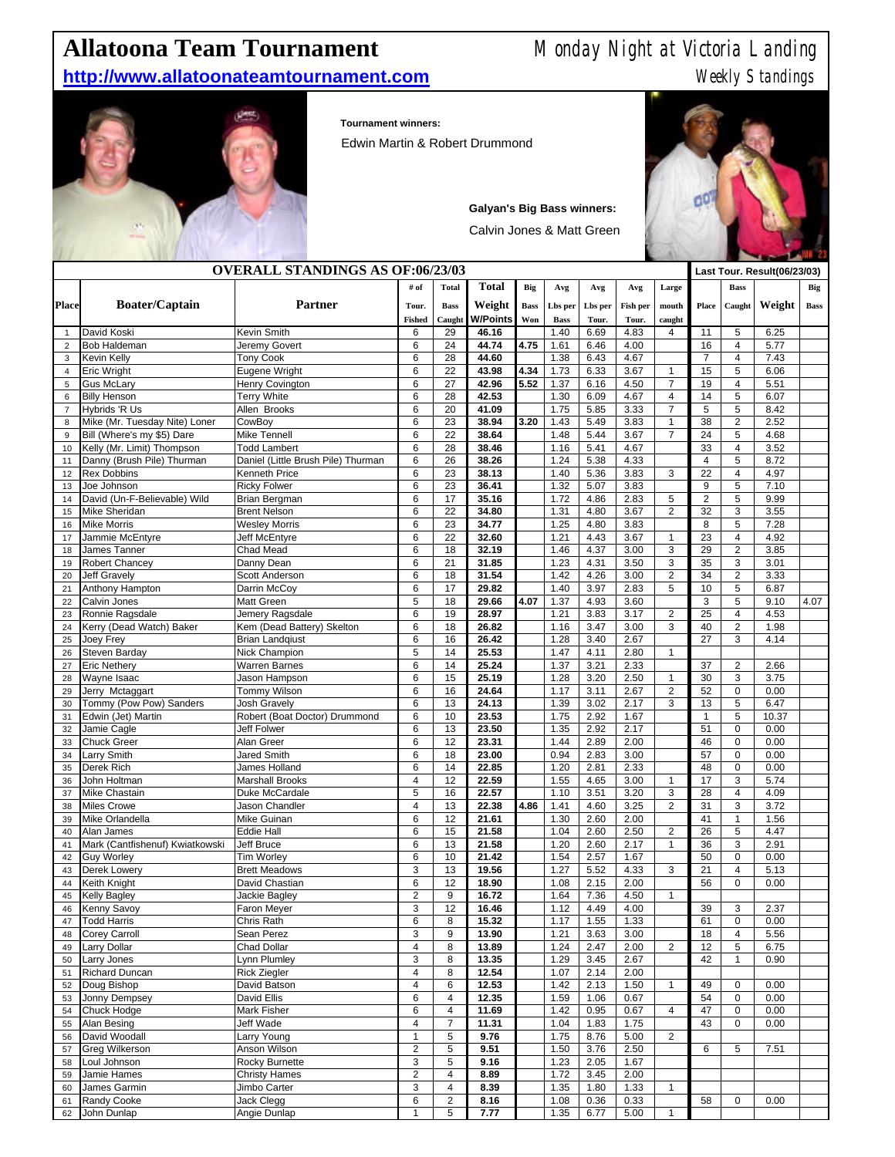## **Allatoona Team Tournament** Monday Night at Victoria Landing

**http://www.allatoonateamtournament.com** Meekly Standings



**Tournament winners:** 

Edwin Martin & Robert Drummond



## **Galyan's Big Bass winners:**

Calvin Jones & Matt Green

| <b>OVERALL STANDINGS AS OF:06/23/03</b> |                                       |                                              |                         |                     |                 |             |              |              |              | Last Tour. Result(06/23/03) |                    |                                  |               |             |
|-----------------------------------------|---------------------------------------|----------------------------------------------|-------------------------|---------------------|-----------------|-------------|--------------|--------------|--------------|-----------------------------|--------------------|----------------------------------|---------------|-------------|
| <b>Place</b>                            | <b>Boater/Captain</b>                 | Partner                                      | # of<br><b>Total</b>    |                     | <b>Total</b>    | Big         | Avg          | Avg          | Avg          | Large                       |                    | <b>Bass</b>                      |               | Big         |
|                                         |                                       |                                              | Tour.                   | <b>Bass</b>         | Weight          | <b>Bass</b> | Lbs per      | Lbs per      | Fish per     | mouth                       | Place              | Caught                           | Weight        | <b>Bass</b> |
|                                         |                                       |                                              | <b>Fished</b>           | Caught              | <b>W/Points</b> | Won         | <b>Bass</b>  | Tour.        | Tour.        | caught                      |                    |                                  |               |             |
| $\mathbf{1}$                            | David Koski                           | Kevin Smith                                  | 6                       | 29                  | 46.16           |             | 1.40         | 6.69         | 4.83         | 4                           | 11                 | $\sqrt{5}$                       | 6.25          |             |
| $\overline{2}$                          | Bob Haldeman                          | Jeremy Govert                                | 6                       | 24                  | 44.74           | 4.75        | 1.61         | 6.46         | 4.00         |                             | 16                 | $\overline{4}$                   | 5.77          |             |
| 3                                       | Kevin Kelly                           | <b>Tony Cook</b>                             | 6                       | 28                  | 44.60           |             | 1.38         | 6.43         | 4.67         |                             | $\overline{7}$     | $\overline{4}$                   | 7.43          |             |
| $\overline{4}$                          | Eric Wright                           | Eugene Wright                                | 6                       | 22                  | 43.98           | 4.34        | 1.73         | 6.33         | 3.67         | $\mathbf{1}$                | 15                 | 5                                | 6.06          |             |
| 5                                       | Gus McLary                            | Henry Covington                              | 6                       | 27                  | 42.96           | 5.52        | 1.37         | 6.16         | 4.50         | $\overline{7}$              | 19                 | 4                                | 5.51          |             |
| 6                                       | <b>Billy Henson</b><br>Hybrids 'R Us  | <b>Terry White</b><br>Allen Brooks           | 6<br>6                  | 28<br>20            | 42.53<br>41.09  |             | 1.30<br>1.75 | 6.09<br>5.85 | 4.67<br>3.33 | 4<br>$\overline{7}$         | 14<br>5            | 5<br>$\sqrt{5}$                  | 6.07<br>8.42  |             |
| $\overline{7}$<br>8                     | Mike (Mr. Tuesday Nite) Loner         | CowBoy                                       | 6                       | 23                  | 38.94           | 3.20        | 1.43         | 5.49         | 3.83         | $\mathbf{1}$                | 38                 | 2                                | 2.52          |             |
| 9                                       | Bill (Where's my \$5) Dare            | Mike Tennell                                 | 6                       | 22                  | 38.64           |             | 1.48         | 5.44         | 3.67         | $\overline{7}$              | 24                 | 5                                | 4.68          |             |
| 10                                      | Kelly (Mr. Limit) Thompson            | <b>Todd Lambert</b>                          | 6                       | 28                  | 38.46           |             | 1.16         | 5.41         | 4.67         |                             | 33                 | $\overline{4}$                   | 3.52          |             |
| 11                                      | Danny (Brush Pile) Thurman            | Daniel (Little Brush Pile) Thurman           | 6                       | 26                  | 38.26           |             | 1.24         | 5.38         | 4.33         |                             | 4                  | $\sqrt{5}$                       | 8.72          |             |
| 12                                      | <b>Rex Dobbins</b>                    | Kenneth Price                                | 6                       | 23                  | 38.13           |             | 1.40         | 5.36         | 3.83         | 3                           | 22                 | $\overline{\mathbf{4}}$          | 4.97          |             |
| 13                                      | Joe Johnson                           | <b>Ricky Folwer</b>                          | 6                       | 23                  | 36.41           |             | 1.32         | 5.07         | 3.83         |                             | 9                  | $\sqrt{5}$                       | 7.10          |             |
| 14                                      | David (Un-F-Believable) Wild          | Brian Bergman                                | 6                       | 17                  | 35.16           |             | 1.72         | 4.86         | 2.83         | 5                           | $\overline{2}$     | 5                                | 9.99          |             |
| 15                                      | Mike Sheridan                         | <b>Brent Nelson</b>                          | 6                       | 22                  | 34.80           |             | 1.31         | 4.80         | 3.67         | $\overline{2}$              | 32                 | 3                                | 3.55          |             |
| 16                                      | <b>Mike Morris</b>                    | <b>Wesley Morris</b>                         | 6                       | 23                  | 34.77           |             | 1.25         | 4.80         | 3.83         |                             | 8                  | 5                                | 7.28          |             |
| 17                                      | Jammie McEntyre                       | Jeff McEntyre                                | 6                       | 22                  | 32.60           |             | 1.21         | 4.43         | 3.67         | $\mathbf{1}$                | 23                 | $\overline{4}$                   | 4.92          |             |
| 18                                      | James Tanner                          | Chad Mead                                    | 6<br>6                  | 18                  | 32.19<br>31.85  |             | 1.46         | 4.37         | 3.00         | 3<br>3                      | 29                 | 2                                | 3.85          |             |
| 19<br>20                                | Robert Chancey<br><b>Jeff Gravely</b> | Danny Dean<br><b>Scott Anderson</b>          | 6                       | 21<br>18            | 31.54           |             | 1.23<br>1.42 | 4.31<br>4.26 | 3.50<br>3.00 | $\overline{c}$              | 35<br>34           | $\mathbf 3$<br>$\overline{2}$    | 3.01<br>3.33  |             |
| 21                                      | Anthony Hampton                       | Darrin McCoy                                 | 6                       | 17                  | 29.82           |             | 1.40         | 3.97         | 2.83         | 5                           | 10                 | $\sqrt{5}$                       | 6.87          |             |
| 22                                      | Calvin Jones                          | Matt Green                                   | 5                       | 18                  | 29.66           | 4.07        | 1.37         | 4.93         | 3.60         |                             | 3                  | 5                                | 9.10          | 4.07        |
| 23                                      | Ronnie Ragsdale                       | Jemery Ragsdale                              | 6                       | 19                  | 28.97           |             | 1.21         | 3.83         | 3.17         | $\overline{c}$              | 25                 | $\overline{4}$                   | 4.53          |             |
| 24                                      | Kerry (Dead Watch) Baker              | Kem (Dead Battery) Skelton                   | 6                       | 18                  | 26.82           |             | 1.16         | 3.47         | 3.00         | 3                           | 40                 | $\overline{c}$                   | 1.98          |             |
| 25                                      | <b>Joey Frey</b>                      | <b>Brian Landqiust</b>                       | 6                       | 16                  | 26.42           |             | 1.28         | 3.40         | 2.67         |                             | 27                 | 3                                | 4.14          |             |
| 26                                      | Steven Barday                         | Nick Champion                                | 5                       | 14                  | 25.53           |             | 1.47         | 4.11         | 2.80         | $\mathbf{1}$                |                    |                                  |               |             |
| 27                                      | <b>Eric Nethery</b>                   | Warren Barnes                                | 6                       | 14                  | 25.24           |             | 1.37         | 3.21         | 2.33         |                             | 37                 | $\overline{2}$                   | 2.66          |             |
| 28                                      | Wayne Isaac                           | Jason Hampson                                | 6                       | 15                  | 25.19           |             | 1.28         | 3.20         | 2.50         | $\mathbf{1}$                | 30                 | 3                                | 3.75          |             |
| 29                                      | Jerry Mctaggart                       | Tommy Wilson                                 | 6                       | 16                  | 24.64           |             | 1.17         | 3.11         | 2.67         | $\overline{c}$              | 52                 | $\mathbf 0$                      | 0.00          |             |
| 30                                      | Tommy (Pow Pow) Sanders               | Josh Gravely                                 | 6                       | 13                  | 24.13           |             | 1.39         | 3.02         | 2.17         | 3                           | 13                 | $\overline{5}$<br>$\overline{5}$ | 6.47          |             |
| 31                                      | Edwin (Jet) Martin                    | Robert (Boat Doctor) Drummond<br>Jeff Folwer | 6<br>6                  | 10<br>13            | 23.53<br>23.50  |             | 1.75<br>1.35 | 2.92<br>2.92 | 1.67<br>2.17 |                             | $\mathbf{1}$<br>51 | $\mathbf 0$                      | 10.37<br>0.00 |             |
| 32<br>33                                | Jamie Cagle<br>Chuck Greer            | Alan Greer                                   | 6                       | 12                  | 23.31           |             | 1.44         | 2.89         | 2.00         |                             | 46                 | $\mathbf 0$                      | 0.00          |             |
| 34                                      | Larry Smith                           | <b>Jared Smith</b>                           | 6                       | 18                  | 23.00           |             | 0.94         | 2.83         | 3.00         |                             | 57                 | $\mathbf 0$                      | 0.00          |             |
| 35                                      | Derek Rich                            | James Holland                                | 6                       | 14                  | 22.85           |             | 1.20         | 2.81         | 2.33         |                             | 48                 | $\mathsf 0$                      | 0.00          |             |
| 36                                      | John Holtman                          | <b>Marshall Brooks</b>                       | 4                       | 12                  | 22.59           |             | 1.55         | 4.65         | 3.00         | $\mathbf{1}$                | 17                 | 3                                | 5.74          |             |
| 37                                      | Mike Chastain                         | Duke McCardale                               | 5                       | 16                  | 22.57           |             | 1.10         | 3.51         | 3.20         | 3                           | 28                 | $\overline{\mathbf{4}}$          | 4.09          |             |
| 38                                      | <b>Miles Crowe</b>                    | Jason Chandler                               | 4                       | 13                  | 22.38           | 4.86        | 1.41         | 4.60         | 3.25         | $\overline{c}$              | 31                 | 3                                | 3.72          |             |
| 39                                      | Mike Orlandella                       | Mike Guinan                                  | 6                       | 12                  | 21.61           |             | 1.30         | 2.60         | 2.00         |                             | 41                 | $\mathbf{1}$                     | 1.56          |             |
| 40                                      | Alan James                            | <b>Eddie Hall</b>                            | 6                       | 15                  | 21.58           |             | 1.04         | 2.60         | 2.50         | $\overline{c}$              | 26                 | 5                                | 4.47          |             |
| 41                                      | Mark (Cantfishenuf) Kwiatkowski       | Jeff Bruce                                   | 6                       | 13                  | 21.58           |             | 1.20         | 2.60         | 2.17         | $\mathbf{1}$                | 36                 | 3                                | 2.91          |             |
| 42                                      | <b>Guy Worley</b>                     | <b>Tim Worley</b>                            | 6<br>3                  | 10                  | 21.42           |             | 1.54         | 2.57         | 1.67         |                             | 50                 | $\mathbf 0$<br>$\overline{4}$    | 0.00          |             |
| 43<br>44                                | Derek Lowery<br>Keith Knight          | <b>Brett Meadows</b><br>David Chastian       | 6                       | 13<br>12            | 19.56<br>18.90  |             | 1.27<br>1.08 | 5.52<br>2.15 | 4.33<br>2.00 | 3                           | 21<br>56           | $\mathbf 0$                      | 5.13<br>0.00  |             |
| 45                                      | Kelly Bagley                          | Jackie Bagley                                | $\overline{2}$          | 9                   | 16.72           |             | 1.64         | 7.36         | 4.50         | $\mathbf{1}$                |                    |                                  |               |             |
| 46                                      | <b>Kenny Savoy</b>                    | Faron Meyer                                  | 3                       | 12                  | 16.46           |             | 1.12         | 4.49         | 4.00         |                             | 39                 | 3                                | 2.37          |             |
| 47                                      | <b>Todd Harris</b>                    | Chris Rath                                   | 6                       | 8                   | 15.32           |             | 1.17         | 1.55         | 1.33         |                             | 61                 | 0                                | 0.00          |             |
| 48                                      | Corey Carroll                         | Sean Perez                                   | 3                       | 9                   | 13.90           |             | 1.21         | 3.63         | 3.00         |                             | 18                 | $\overline{\mathbf{4}}$          | 5.56          |             |
| 49                                      | Larry Dollar                          | Chad Dollar                                  | 4                       | 8                   | 13.89           |             | 1.24         | 2.47         | 2.00         | $\overline{2}$              | 12                 | 5                                | 6.75          |             |
| 50                                      | Larry Jones                           | Lynn Plumley                                 | 3                       | 8                   | 13.35           |             | 1.29         | 3.45         | 2.67         |                             | 42                 | $\mathbf{1}$                     | 0.90          |             |
| 51                                      | Richard Duncan                        | <b>Rick Ziegler</b>                          | 4                       | 8                   | 12.54           |             | 1.07         | 2.14         | 2.00         |                             |                    |                                  |               |             |
| 52                                      | Doug Bishop                           | David Batson                                 | 4                       | 6                   | 12.53           |             | 1.42         | 2.13         | 1.50         | $\mathbf{1}$                | 49                 | 0                                | 0.00          |             |
| 53                                      | Jonny Dempsey                         | David Ellis                                  | 6                       | $\overline{4}$      | 12.35           |             | 1.59         | 1.06         | 0.67         |                             | 54                 | $\mathbf 0$                      | 0.00          |             |
| 54                                      | Chuck Hodge                           | Mark Fisher                                  | 6                       | $\overline{4}$      | 11.69           |             | 1.42         | 0.95         | 0.67         | $\overline{4}$              | 47                 | $\mathbf 0$                      | 0.00          |             |
| 55                                      | Alan Besing<br>David Woodall          | Jeff Wade<br>Larry Young                     | 4<br>$\mathbf{1}$       | $\overline{7}$<br>5 | 11.31<br>9.76   |             | 1.04<br>1.75 | 1.83<br>8.76 | 1.75<br>5.00 | $\overline{2}$              | 43                 | $\mathbf 0$                      | 0.00          |             |
| 56<br>57                                | <b>Greg Wilkerson</b>                 | Anson Wilson                                 | $\overline{\mathbf{c}}$ | 5                   | 9.51            |             | 1.50         | 3.76         | 2.50         |                             | 6                  | 5                                | 7.51          |             |
| 58                                      | Loul Johnson                          | Rocky Burnette                               | 3                       | 5                   | 9.16            |             | 1.23         | 2.05         | 1.67         |                             |                    |                                  |               |             |
| 59                                      | Jamie Hames                           | <b>Christy Hames</b>                         | $\overline{\mathbf{c}}$ | 4                   | 8.89            |             | 1.72         | 3.45         | 2.00         |                             |                    |                                  |               |             |
| 60                                      | James Garmin                          | Jimbo Carter                                 | 3                       | $\overline{4}$      | 8.39            |             | 1.35         | 1.80         | 1.33         | $\mathbf{1}$                |                    |                                  |               |             |
| 61                                      | Randy Cooke                           | Jack Clegg                                   | 6                       | $\overline{c}$      | 8.16            |             | 1.08         | 0.36         | 0.33         |                             | 58                 | $\mathsf 0$                      | 0.00          |             |
| 62                                      | John Dunlap                           | Angie Dunlap                                 | 1                       | 5                   | 7.77            |             | 1.35         | 6.77         | 5.00         | $\mathbf{1}$                |                    |                                  |               |             |